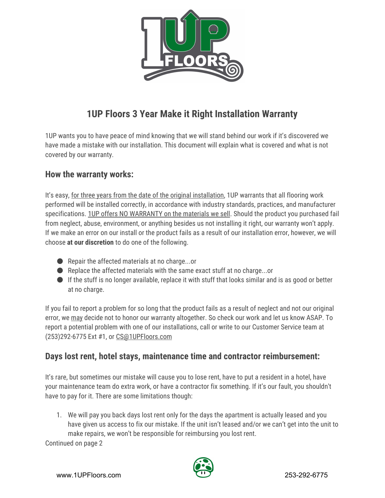

# **1UP Floors 3 Year Make it Right Installation Warranty**

1UP wants you to have peace of mind knowing that we will stand behind our work if it's discovered we have made a mistake with our installation. This document will explain what is covered and what is not covered by our warranty.

### **How the warranty works:**

It's easy, for three years from the date of the original installation, 1UP warrants that all flooring work performed will be installed correctly, in accordance with industry standards, practices, and manufacturer specifications. 1UP offers NO WARRANTY on the materials we sell. Should the product you purchased fail from neglect, abuse, environment, or anything besides us not installing it right, our warranty won't apply. If we make an error on our install or the product fails as a result of our installation error, however, we will choose **at our discretion**to do one of the following.

- $\bullet$  Repair the affected materials at no charge...or
- Replace the affected materials with the same exact stuff at no charge...or
- If the stuff is no longer available, replace it with stuff that looks similar and is as good or better at no charge.

If you fail to report a problem for so long that the product fails as a result of neglect and not our original error, we may decide not to honor our warranty altogether. So check our work and let us know ASAP. To report a potential problem with one of our installations, call or write to our Customer Service team at (253)292-6775 Ext #1, or [CS@1UPFloors.com](mailto:CS@1UPFloors.com)

### **Days lost rent, hotel stays, maintenance time and contractor reimbursement:**

It's rare, but sometimes our mistake will cause you to lose rent, have to put a resident in a hotel, have your maintenance team do extra work, or have a contractor fix something. If it's our fault, you shouldn't have to pay for it. There are some limitations though:

1. We will pay you back days lost rent only for the days the apartment is actually leased and you have given us access to fix our mistake. If the unit isn't leased and/or we can't get into the unit to make repairs, we won't be responsible for reimbursing you lost rent.

Continued on page 2